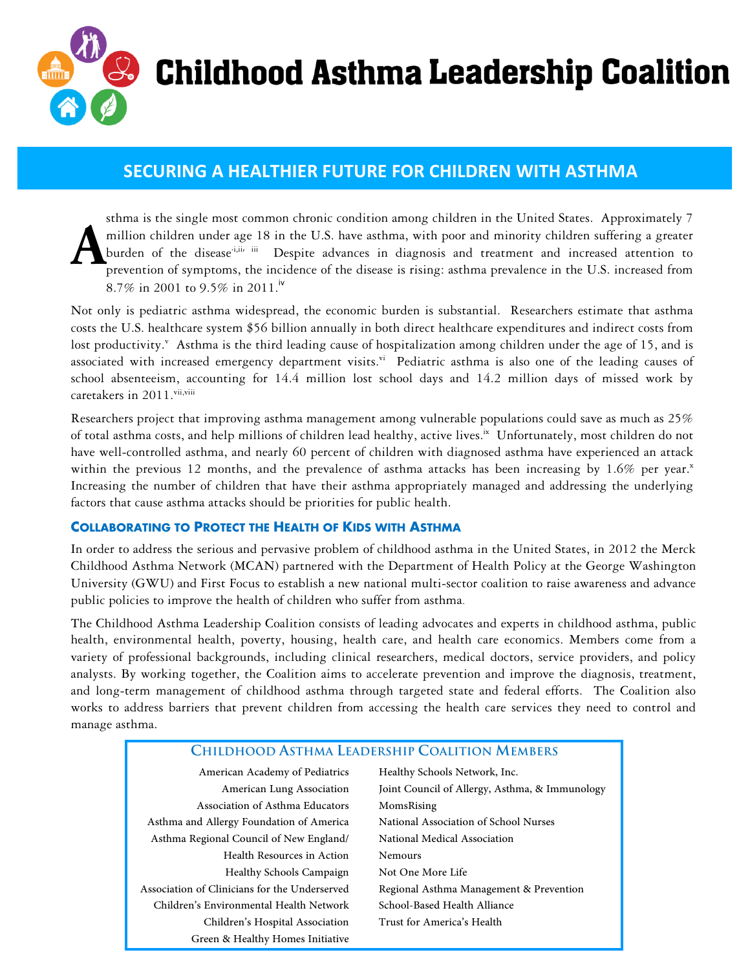

# **Childhood Asthma Leadership Coalition**

## **SECURING)A)HEALTHIER FUTURE)FOR)CHILDREN)WITH)ASTHMA**

sthma is the single most common chronic condition among children in the United States. Approximately 7 million children under age 18 in the U.S. have asthma, with poor and minority children suffering a greater burden of the disease<sup>-i,ii, iii</sup> Despite advances in diagnosis and treatment and increased attention to prevention of symptoms, the incidence of the disease is rising: asthma prevalence in the U.S. increased from 8.7% in 2001 to 9.5% in 2011.<sup>iv</sup> **A**

Not only is pediatric asthma widespread, the economic burden is substantial. Researchers estimate that asthma costs the U.S. healthcare system \$56 billion annually in both direct healthcare expenditures and indirect costs from lost productivity.<sup>v</sup> Asthma is the third leading cause of hospitalization among children under the age of 15, and is associated with increased emergency department visits.<sup>vi</sup> Pediatric asthma is also one of the leading causes of school absenteeism, accounting for 14.4 million lost school days and 14.2 million days of missed work by caretakers in 2011.vii,viii

Researchers project that improving asthma management among vulnerable populations could save as much as 25% of total asthma costs, and help millions of children lead healthy, active lives.<sup>ix</sup> Unfortunately, most children do not have well-controlled asthma, and nearly 60 percent of children with diagnosed asthma have experienced an attack within the previous 12 months, and the prevalence of asthma attacks has been increasing by 1.6% per year. $x$ Increasing the number of children that have their asthma appropriately managed and addressing the underlying factors that cause asthma attacks should be priorities for public health.

#### **COLLABORATING TO PROTECT THE HEALTH OF KIDS WITH ASTHMA**

In order to address the serious and pervasive problem of childhood asthma in the United States, in 2012 the Merck Childhood Asthma Network (MCAN) partnered with the Department of Health Policy at the George Washington University (GWU) and First Focus to establish a new national multi-sector coalition to raise awareness and advance public policies to improve the health of children who suffer from asthma.

The Childhood Asthma Leadership Coalition consists of leading advocates and experts in childhood asthma, public health, environmental health, poverty, housing, health care, and health care economics. Members come from a variety of professional backgrounds, including clinical researchers, medical doctors, service providers, and policy analysts. By working together, the Coalition aims to accelerate prevention and improve the diagnosis, treatment, and long-term management of childhood asthma through targeted state and federal efforts. The Coalition also works to address barriers that prevent children from accessing the health care services they need to control and manage asthma.

| <b>CHILDHOOD ASTHMA LEADERSHIP COALITION MEMBERS</b> |                                                |
|------------------------------------------------------|------------------------------------------------|
| American Academy of Pediatrics                       | Healthy Schools Network, Inc.                  |
| American Lung Association                            | Joint Council of Allergy, Asthma, & Immunology |
| Association of Asthma Educators                      | MomsRising                                     |
| Asthma and Allergy Foundation of America             | National Association of School Nurses          |
| Asthma Regional Council of New England/              | National Medical Association                   |
| Health Resources in Action                           | <b>Nemours</b>                                 |
| Healthy Schools Campaign                             | Not One More Life                              |
| Association of Clinicians for the Underserved        | Regional Asthma Management & Prevention        |
| Children's Environmental Health Network              | School-Based Health Alliance                   |
| Children's Hospital Association                      | Trust for America's Health                     |
| Green & Healthy Homes Initiative                     |                                                |
|                                                      |                                                |